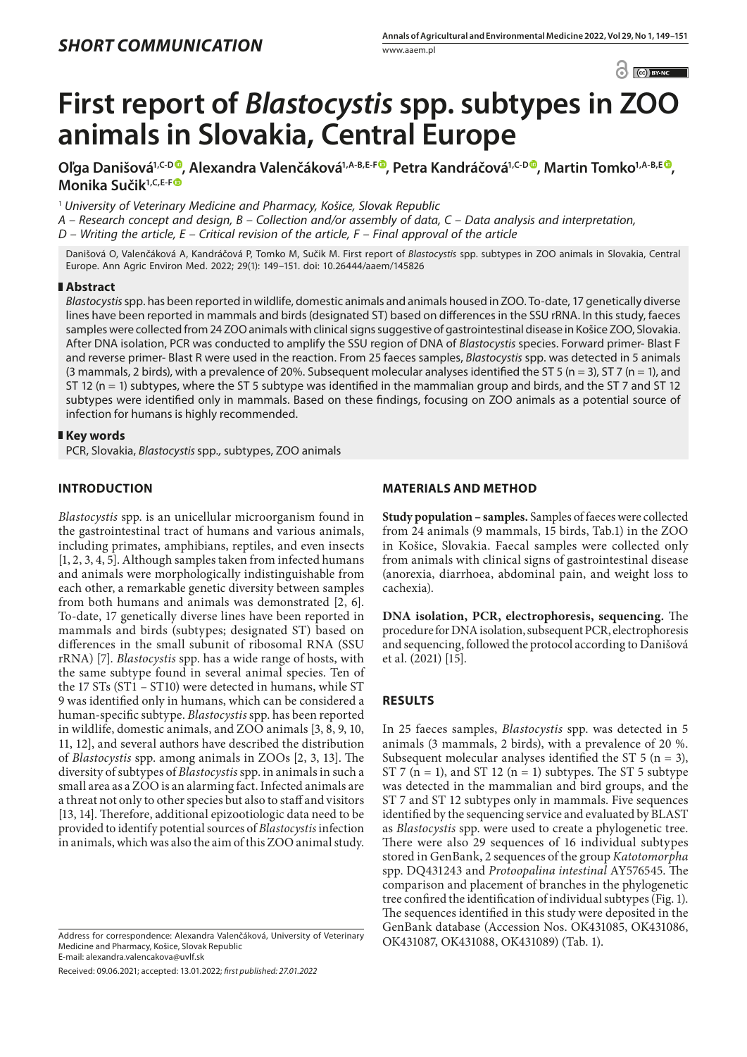$\odot$   $\odot$  BY-NC

# **First report of** *Blastocystis* **spp. subtypes in ZOO animals in Slovakia, Central Europe**

**Oľga Danišová1,C-D [,](https://orcid.org/0000-0001-5312-9500) Alexandra Valenčáková1,A-B,E-F , Petra Kandráčová1,C-D , Martin Tomko1,A-B,E [,](https://orcid.org/0000-0002-5351-7877) Monika Sučik1,C,E-F**

<sup>1</sup> *University of Veterinary Medicine and Pharmacy, Košice, Slovak Republic*

*A – Research concept and design, B – Collection and/or assembly of data, C – Data analysis and interpretation,* 

*D – Writing the article, E – Critical revision of the article, F – Final approval of the article*

Danišová O, Valenčáková A, Kandráčová P, Tomko M, Sučik M. First report of *Blastocystis* spp. subtypes in ZOO animals in Slovakia, Central Europe. Ann Agric Environ Med. 2022; 29(1): 149–151. doi: 10.26444/aaem/145826

## **Abstract**

*Blastocystis* spp. has been reported in wildlife, domestic animals and animals housed in ZOO. To-date, 17 genetically diverse lines have been reported in mammals and birds (designated ST) based on differences in the SSU rRNA. In this study, faeces samples were collected from 24 ZOO animals with clinical signs suggestive of gastrointestinal disease in Košice ZOO, Slovakia. After DNA isolation, PCR was conducted to amplify the SSU region of DNA of *Blastocystis* species. Forward primer- Blast F and reverse primer- Blast R were used in the reaction. From 25 faeces samples, *Blastocystis* spp. was detected in 5 animals (3 mammals, 2 birds), with a prevalence of 20%. Subsequent molecular analyses identified the ST 5 (n = 3), ST 7 (n = 1), and ST 12 ( $n = 1$ ) subtypes, where the ST 5 subtype was identified in the mammalian group and birds, and the ST 7 and ST 12 subtypes were identified only in mammals. Based on these findings, focusing on ZOO animals as a potential source of infection for humans is highly recommended.

## **Key words**

PCR, Slovakia, *Blastocystis* spp.*,* subtypes, ZOO animals

# **INTRODUCTION**

*Blastocystis* spp. is an unicellular microorganism found in the gastrointestinal tract of humans and various animals, including primates, amphibians, reptiles, and even insects [1, 2, 3, 4, 5]. Although samples taken from infected humans and animals were morphologically indistinguishable from each other, a remarkable genetic diversity between samples from both humans and animals was demonstrated [2, 6]. To-date, 17 genetically diverse lines have been reported in mammals and birds (subtypes; designated ST) based on differences in the small subunit of ribosomal RNA (SSU rRNA) [7]. *Blastocystis* spp. has a wide range of hosts, with the same subtype found in several animal species. Ten of the 17 STs (ST1 – ST10) were detected in humans, while ST 9 was identified only in humans, which can be considered a human-specific subtype. *Blastocystis* spp. has been reported in wildlife, domestic animals, and ZOO animals [3, 8, 9, 10, 11, 12], and several authors have described the distribution of *Blastocystis* spp. among animals in ZOOs [2, 3, 13]. The diversity of subtypes of *Blastocystis* spp. in animals in such a small area as a ZOO is an alarming fact. Infected animals are a threat not only to other species but also to staff and visitors [13, 14]. Therefore, additional epizootiologic data need to be provided to identify potential sources of *Blastocystis* infection in animals, which was also the aim of this ZOO animal study.

Address for correspondence: Alexandra Valenčáková, University of Veterinary<br>Medicine and Pharmacy Košice Slovak Republic Medicine and Pharmacy, Košice, Slovak Republic E-mail: alexandra.valencakova@uvlf.sk

Received: 09.06.2021; accepted: 13.01.2022; *first published: 27.01.2022*

## **MATERIALS AND METHOD**

**Study population – samples.** Samples of faeces were collected from 24 animals (9 mammals, 15 birds, Tab.1) in the ZOO in Košice, Slovakia. Faecal samples were collected only from animals with clinical signs of gastrointestinal disease (anorexia, diarrhoea, abdominal pain, and weight loss to cachexia).

**DNA isolation, PCR, electrophoresis, sequencing.** The procedure for DNA isolation, subsequent PCR, electrophoresis and sequencing, followed the protocol according to Danišová et al. (2021) [15].

# **RESULTS**

In 25 faeces samples, *Blastocystis* spp. was detected in 5 animals (3 mammals, 2 birds), with a prevalence of 20 %. Subsequent molecular analyses identified the ST  $5$  (n = 3), ST 7 ( $n = 1$ ), and ST 12 ( $n = 1$ ) subtypes. The ST 5 subtype was detected in the mammalian and bird groups, and the ST 7 and ST 12 subtypes only in mammals. Five sequences identified by the sequencing service and evaluated by BLAST as *Blastocystis* spp. were used to create a phylogenetic tree. There were also 29 sequences of 16 individual subtypes stored in GenBank, 2 sequences of the group *Katotomorpha* spp. DQ431243 and *Protoopalina intestinal* AY576545. The comparison and placement of branches in the phylogenetic tree confired the identification of individual subtypes (Fig. 1). The sequences identified in this study were deposited in the GenBank database (Accession Nos. OK431085, OK431086,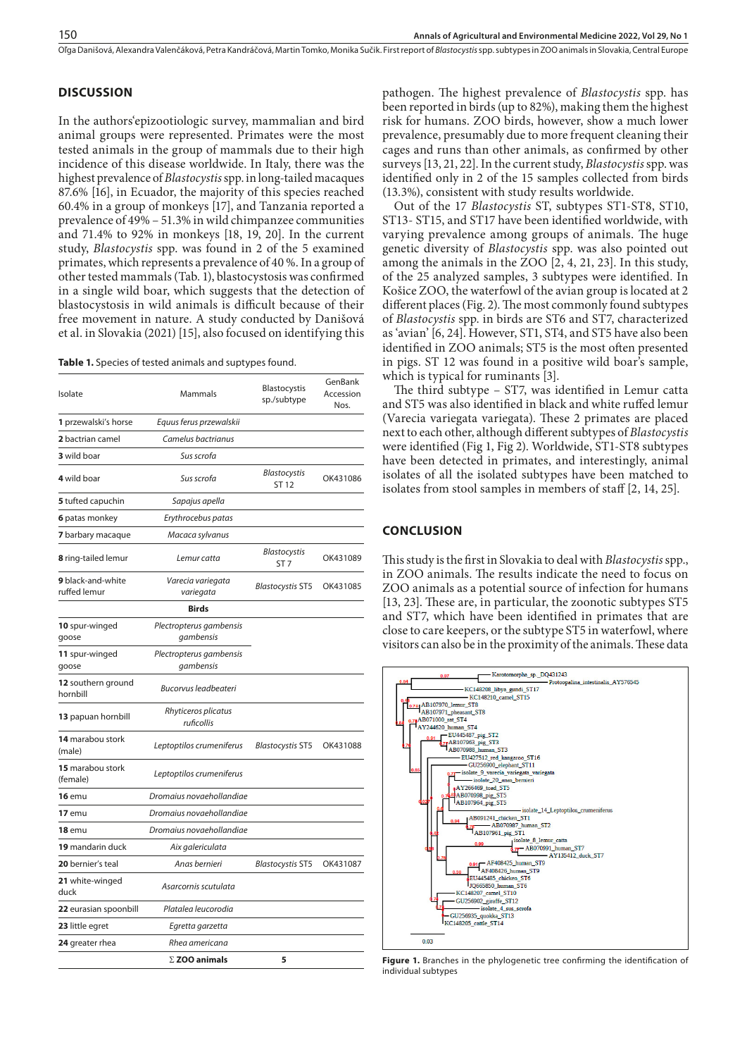Oľga Danišová, Alexandra Valenčáková, Petra Kandráčová, Martin Tomko, Monika Sučik . First report of *Blastocystis* spp. subtypes in ZOO animals in Slovakia, Central Europe

## **DISCUSSION**

In the authors'epizootiologic survey, mammalian and bird animal groups were represented. Primates were the most tested animals in the group of mammals due to their high incidence of this disease worldwide. In Italy, there was the highest prevalence of *Blastocystis* spp. in long-tailed macaques 87.6% [16], in Ecuador, the majority of this species reached 60.4% in a group of monkeys [17], and Tanzania reported a prevalence of 49% – 51.3% in wild chimpanzee communities and 71.4% to 92% in monkeys [18, 19, 20]. In the current study, *Blastocystis* spp. was found in 2 of the 5 examined primates, which represents a prevalence of 40 %. In a group of other tested mammals (Tab. 1), blastocystosis was confirmed in a single wild boar, which suggests that the detection of blastocystosis in wild animals is difficult because of their free movement in nature. A study conducted by Danišová et al. in Slovakia (2021) [15], also focused on identifying this

**Table 1.** Species of tested animals and suptypes found.

| Isolate                               | Mammals                              | <b>Blastocystis</b><br>sp./subtype     | GenBank<br>Accession<br>Nos. |
|---------------------------------------|--------------------------------------|----------------------------------------|------------------------------|
| 1 przewalski's horse                  | Equus ferus przewalskii              |                                        |                              |
| 2 bactrian camel                      | Camelus bactrianus                   |                                        |                              |
| 3 wild boar                           | Sus scrofa                           |                                        |                              |
| 4 wild boar                           | Sus scrofa                           | Blastocystis<br>ST 12                  | OK431086                     |
| 5 tufted capuchin                     | Sapajus apella                       |                                        |                              |
| <b>6</b> patas monkey                 | Erythrocebus patas                   |                                        |                              |
| <b>7</b> barbary macaque              | Macaca sylvanus                      |                                        |                              |
| 8 ring-tailed lemur                   | Lemur catta                          | <b>Blastocystis</b><br>ST <sub>7</sub> | OK431089                     |
| 9 black-and-white<br>ruffed lemur     | Varecia variegata<br>variegata       | <b>Blastocystis ST5</b>                | OK431085                     |
|                                       | <b>Birds</b>                         |                                        |                              |
| 10 spur-winged<br>goose               | Plectropterus gambensis<br>gambensis |                                        |                              |
| 11 spur-winged<br>goose               | Plectropterus gambensis<br>gambensis |                                        |                              |
| <b>12</b> southern ground<br>hornbill | <b>Bucorvus leadbeateri</b>          |                                        |                              |
| <b>13</b> papuan hornbill             | Rhyticeros plicatus<br>ruficollis    |                                        |                              |
| 14 marabou stork<br>(male)            | Leptoptilos crumeniferus             | <b>Blastocystis ST5</b>                | OK431088                     |
| 15 marabou stork<br>(female)          | Leptoptilos crumeniferus             |                                        |                              |
| $16$ emu                              | Dromaius novaehollandiae             |                                        |                              |
| <b>17</b> emu                         | Dromaius novaehollandiae             |                                        |                              |
| $18$ emu                              | Dromaius novaehollandiae             |                                        |                              |
| 19 mandarin duck                      | Aix galericulata                     |                                        |                              |
| 20 bernier's teal                     | Anas bernieri                        | <b>Blastocystis ST5</b>                | OK431087                     |
| 21 white-winged<br>duck               | Asarcornis scutulata                 |                                        |                              |
| 22 eurasian spoonbill                 | Platalea leucorodia                  |                                        |                              |
| 23 little egret                       | Egretta garzetta                     |                                        |                              |
| 24 greater rhea                       | Rhea americana                       |                                        |                              |
|                                       | $\Sigma$ ZOO animals                 | 5                                      |                              |

pathogen. The highest prevalence of *Blastocystis* spp. has been reported in birds (up to 82%), making them the highest risk for humans. ZOO birds, however, show a much lower prevalence, presumably due to more frequent cleaning their cages and runs than other animals, as confirmed by other surveys [13, 21, 22]. In the current study, *Blastocystis* spp. was identified only in 2 of the 15 samples collected from birds (13.3%), consistent with study results worldwide.

Out of the 17 *Blastocystis* ST, subtypes ST1-ST8, ST10, ST13- ST15, and ST17 have been identified worldwide, with varying prevalence among groups of animals. The huge genetic diversity of *Blastocystis* spp. was also pointed out among the animals in the ZOO [2, 4, 21, 23]. In this study, of the 25 analyzed samples, 3 subtypes were identified. In Košice ZOO, the waterfowl of the avian group is located at 2 different places (Fig. 2). The most commonly found subtypes of *Blastocystis* spp. in birds are ST6 and ST7, characterized as 'avian' [6, 24]. However, ST1, ST4, and ST5 have also been identified in ZOO animals; ST5 is the most often presented in pigs. ST 12 was found in a positive wild boar's sample, which is typical for ruminants [3].

The third subtype – ST7, was identified in Lemur catta and ST5 was also identified in black and white ruffed lemur (Varecia variegata variegata). These 2 primates are placed next to each other, although different subtypes of *Blastocystis*  were identified (Fig 1, Fig 2). Worldwide, ST1-ST8 subtypes have been detected in primates, and interestingly, animal isolates of all the isolated subtypes have been matched to isolates from stool samples in members of staff [2, 14, 25].

#### **CONCLUSION**

This study is the first in Slovakia to deal with *Blastocystis* spp., in ZOO animals. The results indicate the need to focus on ZOO animals as a potential source of infection for humans [13, 23]. These are, in particular, the zoonotic subtypes ST5 and ST7, which have been identified in primates that are close to care keepers, or the subtype ST5 in waterfowl, where visitors can also be in the proximity of the animals. These data



Figure 1. Branches in the phylogenetic tree confirming the identification of individual subtypes